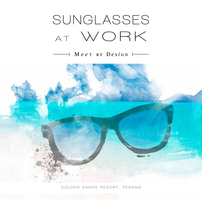# **Sunglasses a t W o r k**

#### $\rightarrow$  Meer by Design  $\rightarrow$



**G o l d e n s a n d s r e s o r t , P e n a n g**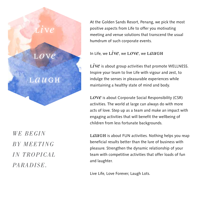

*we begin BY MEETING in TROPICAL paradise.* 

At the Golden Sands Resort, Penang, we pick the most positive aspects from Life to offer you motivating meeting and venue solutions that transcend the usual humdrum of such corporate events.

#### In Life, we  $\dot{L}$ ive, we  $\dot{L}$ ove, we  $\dot{L}$ augh

LIVE is about group activities that promote WELLNESS. Inspire your team to live Life with vigour and zest, to indulge the senses in pleasurable experiences while maintaining a healthy state of mind and body.

LOVE is about Corporate Social Responsibility (CSR) activities. The world at large can always do with more acts of love. Step up as a team and make an impact with engaging activities that will benefit the wellbeing of children from less fortunate backgrounds.

 $LdUGH$  is about FUN activities. Nothing helps you reap beneficial results better than the lure of business with pleasure. Strengthen the dynamic relationship of your team with competitive activities that offer loads of fun and laughter.

Live Life, Love Forever, Laugh Lots.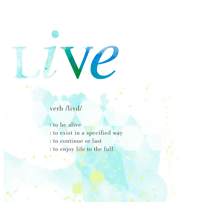

### verb /livd/

: to be alive : to exist in a specified way : to continue or last : to enjoy life to the full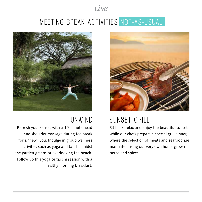# MEETING BREAK ACTIVITIES NOT-AS-USUAL

live



#### UNWIND

Refresh your senses with a 15-minute head and shoulder massage during tea break for a "new" you. Indulge in group wellness activities such as yoga and tai chi amidst the garden greens or overlooking the beach. Follow up this yoga or tai chi session with a healthy morning breakfast.



# **SUNSET GRILL**

Sit back, relax and enjoy the beautiful sunset while our chefs prepare a special grill dinner, where the selection of meats and seafood are marinated using our very own home-grown herbs and spices.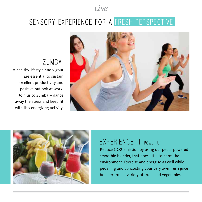# SENSORY EXPERIENCE FOR A FRESH PERSPECTIVE

live

### **ZU M BA!**

A healthy lifestyle and vigour are essential to sustain excellent productivity and positive outlook at work. Join us to Zumba – dance away the stress and keep fit with this energizing activity.





### **EXPERIENCE IT POWER UP**

Reduce CO2 emission by using our pedal-powered smoothie blender, that does little to harm the environment. Exercise and energise as well while pedalling and concocting your very own fresh juice booster from a variety of fruits and vegetables.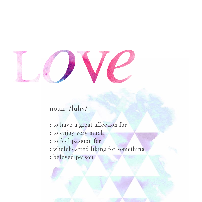

#### noun /luhv/

- : to have a great affection for
- : to enjoy very much
- : to feel passion for
- : wholehearted liking for something
- : beloved person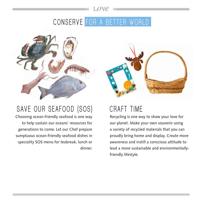#### love

# CONSERVE FOR A BETTER WORLD



## SAVE OUR SEAFOOD (SOS)

Choosing ocean-friendly seafood is one way to help sustain our oceans' resources for generations to come. Let our Chef prepare sumptuous ocean-friendly seafood dishes in speciality SOS menu for teabreak, lunch or dinner.



## **CRAFT TIME**

Recycling is one way to show your love for our planet. Make your own souvenir using a variety of recycled materials that you can proudly bring home and display. Create more awareness and instill a conscious attitude to lead a more sustainable and environmentallyfriendly lifestyle.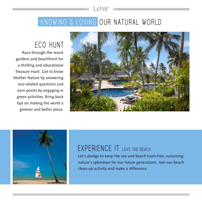# KNOWING & LOVING OUR NATURAL WORLD

love

#### **ECO** HUNT

Race through the resort gardens and beachfront for a thrilling and educational Treasure Hunt. Get to know Mother Nature by answering eco-related questions and earn points by engaging in green activities. Bring back tips on making the world a greener and better place.





### **EXPERIENCE IT LOVE THE BEACH**

Let's pledge to keep the sea and beach trash-free, sustaining nature's splendour for our future generations. Join our beach clean-up activity and make a difference.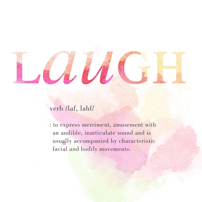

#### verb /laf, lahf/

: to express merriment, amusement with an audible, inarticulate sound and is usually accompanied by characteristic facial and bodily movements.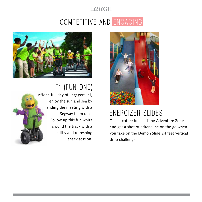#### L*au*gh

# $COMPETITIVE AND ENGAGING$



**F 1 ( FUN ON E )**



After a full day of engagement, enjoy the sun and sea by ending the meeting with a Segway team race. Follow up this fun whizz around the track with a healthy and refreshing snack session.



# **Energizer Sl ides**

Take a coffee break at the Adventure Zone and get a shot of adrenaline on the go when you take on the Demon Slide 24 feet vertical drop challenge.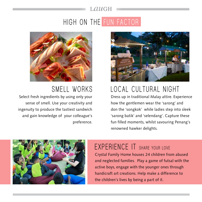# **High on the Fun Fa cto r**

laugh



# LOCAL CULTURAL NIGHT

Dress up in traditional Malay attire. Experience how the gentlemen wear the 'sarong' and don the 'songkok' while ladies step into sleek 'sarong batik' and 'selendang'. Capture these fun filled moments, whilst savouring Penang's renowned hawker delights.



### **SMELL WORKS**

Select fresh ingredients by using only your sense of smell. Use your creativity and ingenuity to produce the tastiest sandwich and gain knowledge of your colleague's preference.



## **EXPERIENCE IT SHARE YOUR LOVE**

Crystal Family Home houses 24 children from abused and neglected families. Play a game of futsal with the active boys, engage with the younger ones through handicraft art creations. Help make a difference to the children's lives by being a part of it.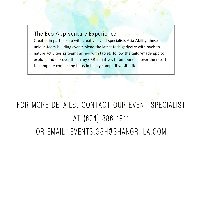#### The Eco App-venture Experience

Created in partnership with creative event specialists Asia Ability, these unique team-building events blend the latest tech gadgetry with back-to-

nature activities as teams armed with tablets follow the tailor-made app to explore and discover the many CSR initiatives to be found all over the resort to complete compelling tasks in highly competitive situations.

# FOR MORE DETAILS, CONTACT OUR EVENT SPECIALIST **at ( 6 0 4 ) 8 8 6 1 9 1 1 o r em ai l : events .gs h @ s h angri - l a . c o m**